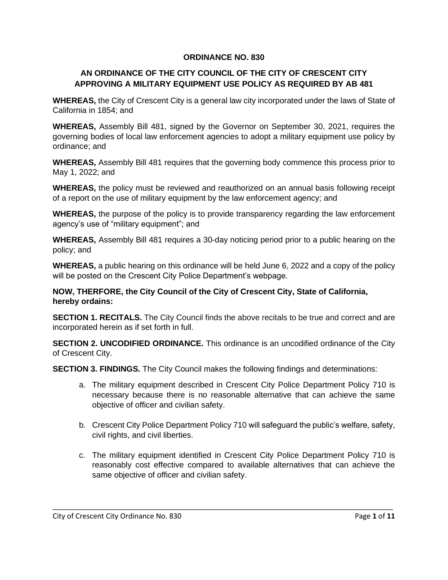#### **ORDINANCE NO. 830**

#### **AN ORDINANCE OF THE CITY COUNCIL OF THE CITY OF CRESCENT CITY APPROVING A MILITARY EQUIPMENT USE POLICY AS REQUIRED BY AB 481**

**WHEREAS,** the City of Crescent City is a general law city incorporated under the laws of State of California in 1854; and

**WHEREAS,** Assembly Bill 481, signed by the Governor on September 30, 2021, requires the governing bodies of local law enforcement agencies to adopt a military equipment use policy by ordinance; and

**WHEREAS,** Assembly Bill 481 requires that the governing body commence this process prior to May 1, 2022; and

**WHEREAS,** the policy must be reviewed and reauthorized on an annual basis following receipt of a report on the use of military equipment by the law enforcement agency; and

**WHEREAS,** the purpose of the policy is to provide transparency regarding the law enforcement agency's use of "military equipment"; and

**WHEREAS,** Assembly Bill 481 requires a 30-day noticing period prior to a public hearing on the policy; and

**WHEREAS,** a public hearing on this ordinance will be held June 6, 2022 and a copy of the policy will be posted on the Crescent City Police Department's webpage.

#### **NOW, THERFORE, the City Council of the City of Crescent City, State of California, hereby ordains:**

**SECTION 1. RECITALS.** The City Council finds the above recitals to be true and correct and are incorporated herein as if set forth in full.

**SECTION 2. UNCODIFIED ORDINANCE.** This ordinance is an uncodified ordinance of the City of Crescent City.

**SECTION 3. FINDINGS.** The City Council makes the following findings and determinations:

- a. The military equipment described in Crescent City Police Department Policy 710 is necessary because there is no reasonable alternative that can achieve the same objective of officer and civilian safety.
- b. Crescent City Police Department Policy 710 will safeguard the public's welfare, safety, civil rights, and civil liberties.
- c. The military equipment identified in Crescent City Police Department Policy 710 is reasonably cost effective compared to available alternatives that can achieve the same objective of officer and civilian safety.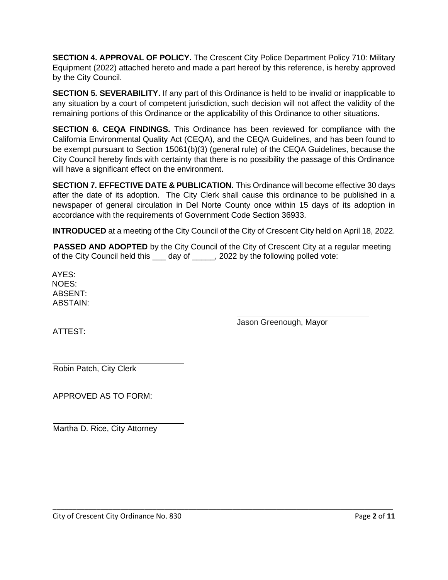**SECTION 4. APPROVAL OF POLICY.** The Crescent City Police Department Policy 710: Military Equipment (2022) attached hereto and made a part hereof by this reference, is hereby approved by the City Council.

**SECTION 5. SEVERABILITY.** If any part of this Ordinance is held to be invalid or inapplicable to any situation by a court of competent jurisdiction, such decision will not affect the validity of the remaining portions of this Ordinance or the applicability of this Ordinance to other situations.

**SECTION 6. CEQA FINDINGS.** This Ordinance has been reviewed for compliance with the California Environmental Quality Act (CEQA), and the CEQA Guidelines, and has been found to be exempt pursuant to Section 15061(b)(3) (general rule) of the CEQA Guidelines, because the City Council hereby finds with certainty that there is no possibility the passage of this Ordinance will have a significant effect on the environment.

**SECTION 7. EFFECTIVE DATE & PUBLICATION.** This Ordinance will become effective 30 days after the date of its adoption. The City Clerk shall cause this ordinance to be published in a newspaper of general circulation in Del Norte County once within 15 days of its adoption in accordance with the requirements of Government Code Section 36933.

**INTRODUCED** at a meeting of the City Council of the City of Crescent City held on April 18, 2022.

**PASSED AND ADOPTED** by the City Council of the City of Crescent City at a regular meeting of the City Council held this \_\_\_ day of \_\_\_\_\_, 2022 by the following polled vote:

\_\_\_\_\_\_\_\_\_\_\_\_\_\_\_\_\_\_\_\_\_\_\_\_\_\_\_\_\_\_\_\_\_\_\_\_\_\_\_\_\_\_\_\_\_\_\_\_\_\_\_\_\_\_\_\_\_\_\_\_\_\_\_\_\_\_\_\_\_\_\_\_\_\_\_\_\_\_\_\_\_\_\_\_\_

AYES: NOES: ABSENT: ABSTAIN:

Jason Greenough, Mayor

ATTEST:

Robin Patch, City Clerk

APPROVED AS TO FORM:

Martha D. Rice, City Attorney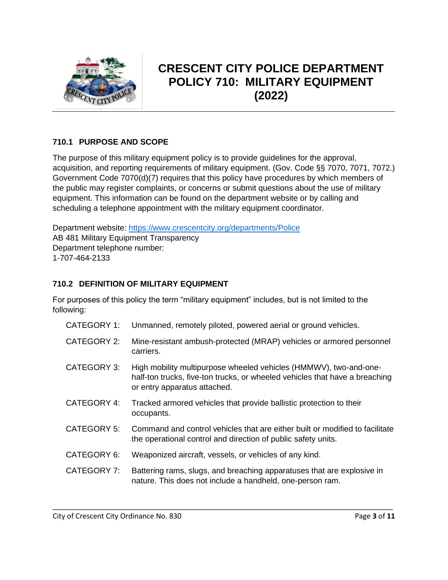

# **CRESCENT CITY POLICE DEPARTMENT POLICY 710: MILITARY EQUIPMENT (2022)**

# **710.1 PURPOSE AND SCOPE**

The purpose of this military equipment policy is to provide guidelines for the approval, acquisition, and reporting requirements of military equipment. (Gov. Code §§ 7070, 7071, 7072.) Government Code 7070(d)(7) requires that this policy have procedures by which members of the public may register complaints, or concerns or submit questions about the use of military equipment. This information can be found on the department website or by calling and scheduling a telephone appointment with the military equipment coordinator.

Department website:<https://www.crescentcity.org/departments/Police> AB 481 Military Equipment Transparency Department telephone number: 1-707-464-2133

# **710.2 DEFINITION OF MILITARY EQUIPMENT**

For purposes of this policy the term "military equipment" includes, but is not limited to the following:

| <b>CATEGORY 1:</b> | Unmanned, remotely piloted, powered aerial or ground vehicles.                                                                                                                   |
|--------------------|----------------------------------------------------------------------------------------------------------------------------------------------------------------------------------|
| <b>CATEGORY 2:</b> | Mine-resistant ambush-protected (MRAP) vehicles or armored personnel<br>carriers.                                                                                                |
| CATEGORY 3:        | High mobility multipurpose wheeled vehicles (HMMWV), two-and-one-<br>half-ton trucks, five-ton trucks, or wheeled vehicles that have a breaching<br>or entry apparatus attached. |
| CATEGORY 4:        | Tracked armored vehicles that provide ballistic protection to their<br>occupants.                                                                                                |
| CATEGORY 5:        | Command and control vehicles that are either built or modified to facilitate<br>the operational control and direction of public safety units.                                    |
| CATEGORY 6:        | Weaponized aircraft, vessels, or vehicles of any kind.                                                                                                                           |
| CATEGORY 7:        | Battering rams, slugs, and breaching apparatuses that are explosive in<br>nature. This does not include a handheld, one-person ram.                                              |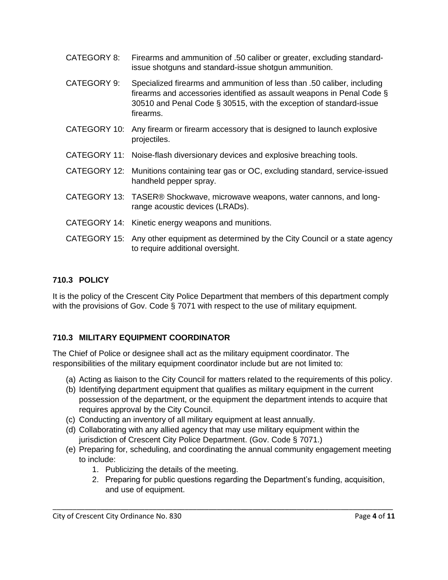| CATEGORY 8:  | Firearms and ammunition of .50 caliber or greater, excluding standard-<br>issue shotguns and standard-issue shotgun ammunition.                                                                                                      |
|--------------|--------------------------------------------------------------------------------------------------------------------------------------------------------------------------------------------------------------------------------------|
| CATEGORY 9:  | Specialized firearms and ammunition of less than .50 caliber, including<br>firearms and accessories identified as assault weapons in Penal Code §<br>30510 and Penal Code § 30515, with the exception of standard-issue<br>firearms. |
| CATEGORY 10: | Any firearm or firearm accessory that is designed to launch explosive<br>projectiles.                                                                                                                                                |
|              | CATEGORY 11: Noise-flash diversionary devices and explosive breaching tools.                                                                                                                                                         |
| CATEGORY 12: | Munitions containing tear gas or OC, excluding standard, service-issued<br>handheld pepper spray.                                                                                                                                    |
|              | CATEGORY 13: TASER® Shockwave, microwave weapons, water cannons, and long-<br>range acoustic devices (LRADs).                                                                                                                        |
|              | CATEGORY 14: Kinetic energy weapons and munitions.                                                                                                                                                                                   |
|              | CATEGORY 15: Any other equipment as determined by the City Council or a state agency<br>to require additional oversight.                                                                                                             |

# **710.3 POLICY**

It is the policy of the Crescent City Police Department that members of this department comply with the provisions of Gov. Code § 7071 with respect to the use of military equipment.

# **710.3 MILITARY EQUIPMENT COORDINATOR**

The Chief of Police or designee shall act as the military equipment coordinator. The responsibilities of the military equipment coordinator include but are not limited to:

- (a) Acting as liaison to the City Council for matters related to the requirements of this policy.
- (b) Identifying department equipment that qualifies as military equipment in the current possession of the department, or the equipment the department intends to acquire that requires approval by the City Council.
- (c) Conducting an inventory of all military equipment at least annually.
- (d) Collaborating with any allied agency that may use military equipment within the jurisdiction of Crescent City Police Department. (Gov. Code § 7071.)
- (e) Preparing for, scheduling, and coordinating the annual community engagement meeting to include:

- 1. Publicizing the details of the meeting.
- 2. Preparing for public questions regarding the Department's funding, acquisition, and use of equipment.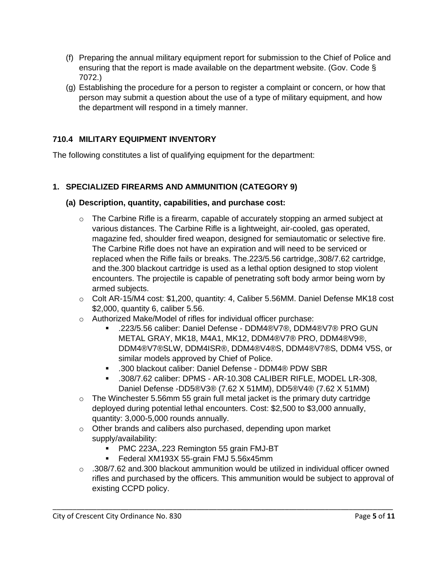- (f) Preparing the annual military equipment report for submission to the Chief of Police and ensuring that the report is made available on the department website. (Gov. Code § 7072.)
- (g) Establishing the procedure for a person to register a complaint or concern, or how that person may submit a question about the use of a type of military equipment, and how the department will respond in a timely manner.

# **710.4 MILITARY EQUIPMENT INVENTORY**

The following constitutes a list of qualifying equipment for the department:

# **1. SPECIALIZED FIREARMS AND AMMUNITION (CATEGORY 9)**

#### **(a) Description, quantity, capabilities, and purchase cost:**

- $\circ$  The Carbine Rifle is a firearm, capable of accurately stopping an armed subject at various distances. The Carbine Rifle is a lightweight, air-cooled, gas operated, magazine fed, shoulder fired weapon, designed for semiautomatic or selective fire. The Carbine Rifle does not have an expiration and will need to be serviced or replaced when the Rifle fails or breaks. The.223/5.56 cartridge,.308/7.62 cartridge, and the.300 blackout cartridge is used as a lethal option designed to stop violent encounters. The projectile is capable of penetrating soft body armor being worn by armed subjects.
- o Colt AR-15/M4 cost: \$1,200, quantity: 4, Caliber 5.56MM. Daniel Defense MK18 cost \$2,000, quantity 6, caliber 5.56.
- o Authorized Make/Model of rifles for individual officer purchase:
	- .223/5.56 caliber: Daniel Defense DDM4®V7®, DDM4®V7® PRO GUN METAL GRAY, MK18, M4A1, MK12, DDM4®V7® PRO, DDM4®V9®, DDM4®V7®SLW, DDM4ISR®, DDM4®V4®S, DDM4®V7®S, DDM4 V5S, or similar models approved by Chief of Police.
	- .300 blackout caliber: Daniel Defense DDM4® PDW SBR
	- .308/7.62 caliber: DPMS AR-10.308 CALIBER RIFLE, MODEL LR-308, Daniel Defense -DD5®V3® (7.62 X 51MM), DD5®V4® (7.62 X 51MM)
- o The Winchester 5.56mm 55 grain full metal jacket is the primary duty cartridge deployed during potential lethal encounters. Cost: \$2,500 to \$3,000 annually, quantity: 3,000-5,000 rounds annually.
- o Other brands and calibers also purchased, depending upon market supply/availability:
	- PMC 223A,.223 Remington 55 grain FMJ-BT
	- Federal XM193X 55-grain FMJ 5.56x45mm
- o .308/7.62 and.300 blackout ammunition would be utilized in individual officer owned rifles and purchased by the officers. This ammunition would be subject to approval of existing CCPD policy.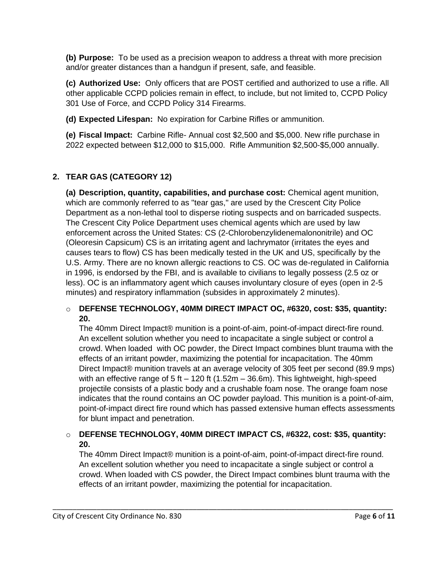**(b) Purpose:** To be used as a precision weapon to address a threat with more precision and/or greater distances than a handgun if present, safe, and feasible.

**(c) Authorized Use:** Only officers that are POST certified and authorized to use a rifle. All other applicable CCPD policies remain in effect, to include, but not limited to, CCPD Policy 301 Use of Force, and CCPD Policy 314 Firearms.

**(d) Expected Lifespan:** No expiration for Carbine Rifles or ammunition.

**(e) Fiscal Impact:** Carbine Rifle- Annual cost \$2,500 and \$5,000. New rifle purchase in 2022 expected between \$12,000 to \$15,000. Rifle Ammunition \$2,500-\$5,000 annually.

# **2. TEAR GAS (CATEGORY 12)**

**(a) Description, quantity, capabilities, and purchase cost:** Chemical agent munition, which are commonly referred to as "tear gas," are used by the Crescent City Police Department as a non-lethal tool to disperse rioting suspects and on barricaded suspects. The Crescent City Police Department uses chemical agents which are used by law enforcement across the United States: CS (2-Chlorobenzylidenemalononitrile) and OC (Oleoresin Capsicum) CS is an irritating agent and lachrymator (irritates the eyes and causes tears to flow) CS has been medically tested in the UK and US, specifically by the U.S. Army. There are no known allergic reactions to CS. OC was de-regulated in California in 1996, is endorsed by the FBI, and is available to civilians to legally possess (2.5 oz or less). OC is an inflammatory agent which causes involuntary closure of eyes (open in 2-5 minutes) and respiratory inflammation (subsides in approximately 2 minutes).

#### o **DEFENSE TECHNOLOGY, 40MM DIRECT IMPACT OC, #6320, cost: \$35, quantity: 20.**

The 40mm Direct Impact® munition is a point-of-aim, point-of-impact direct-fire round. An excellent solution whether you need to incapacitate a single subject or control a crowd. When loaded with OC powder, the Direct Impact combines blunt trauma with the effects of an irritant powder, maximizing the potential for incapacitation. The 40mm Direct Impact® munition travels at an average velocity of 305 feet per second (89.9 mps) with an effective range of 5 ft  $-$  120 ft (1.52m  $-$  36.6m). This lightweight, high-speed projectile consists of a plastic body and a crushable foam nose. The orange foam nose indicates that the round contains an OC powder payload. This munition is a point-of-aim, point-of-impact direct fire round which has passed extensive human effects assessments for blunt impact and penetration.

#### o **DEFENSE TECHNOLOGY, 40MM DIRECT IMPACT CS, #6322, cost: \$35, quantity: 20.**

\_\_\_\_\_\_\_\_\_\_\_\_\_\_\_\_\_\_\_\_\_\_\_\_\_\_\_\_\_\_\_\_\_\_\_\_\_\_\_\_\_\_\_\_\_\_\_\_\_\_\_\_\_\_\_\_\_\_\_\_\_\_\_\_\_\_\_\_\_\_\_\_\_\_\_\_\_\_\_\_\_\_\_\_\_

The 40mm Direct Impact® munition is a point-of-aim, point-of-impact direct-fire round. An excellent solution whether you need to incapacitate a single subject or control a crowd. When loaded with CS powder, the Direct Impact combines blunt trauma with the effects of an irritant powder, maximizing the potential for incapacitation.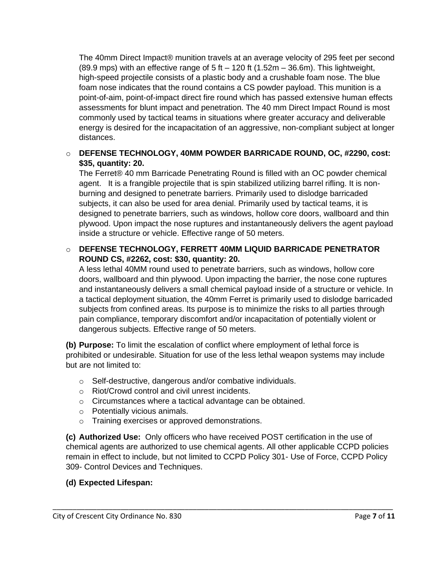The 40mm Direct Impact® munition travels at an average velocity of 295 feet per second  $(89.9 \text{ mps})$  with an effective range of 5 ft  $-120$  ft  $(1.52 \text{m} - 36.6 \text{m})$ . This lightweight, high-speed projectile consists of a plastic body and a crushable foam nose. The blue foam nose indicates that the round contains a CS powder payload. This munition is a point-of-aim, point-of-impact direct fire round which has passed extensive human effects assessments for blunt impact and penetration. The 40 mm Direct Impact Round is most commonly used by tactical teams in situations where greater accuracy and deliverable energy is desired for the incapacitation of an aggressive, non-compliant subject at longer distances.

#### o **DEFENSE TECHNOLOGY, 40MM POWDER BARRICADE ROUND, OC, #2290, cost: \$35, quantity: 20.**

The Ferret® 40 mm Barricade Penetrating Round is filled with an OC powder chemical agent. It is a frangible projectile that is spin stabilized utilizing barrel rifling. It is nonburning and designed to penetrate barriers. Primarily used to dislodge barricaded subjects, it can also be used for area denial. Primarily used by tactical teams, it is designed to penetrate barriers, such as windows, hollow core doors, wallboard and thin plywood. Upon impact the nose ruptures and instantaneously delivers the agent payload inside a structure or vehicle. Effective range of 50 meters.

#### o **DEFENSE TECHNOLOGY, FERRETT 40MM LIQUID BARRICADE PENETRATOR ROUND CS, #2262, cost: \$30, quantity: 20.**

A less lethal 40MM round used to penetrate barriers, such as windows, hollow core doors, wallboard and thin plywood. Upon impacting the barrier, the nose cone ruptures and instantaneously delivers a small chemical payload inside of a structure or vehicle. In a tactical deployment situation, the 40mm Ferret is primarily used to dislodge barricaded subjects from confined areas. Its purpose is to minimize the risks to all parties through pain compliance, temporary discomfort and/or incapacitation of potentially violent or dangerous subjects. Effective range of 50 meters.

**(b) Purpose:** To limit the escalation of conflict where employment of lethal force is prohibited or undesirable. Situation for use of the less lethal weapon systems may include but are not limited to:

- o Self-destructive, dangerous and/or combative individuals.
- o Riot/Crowd control and civil unrest incidents.
- o Circumstances where a tactical advantage can be obtained.
- o Potentially vicious animals.
- o Training exercises or approved demonstrations.

**(c) Authorized Use:** Only officers who have received POST certification in the use of chemical agents are authorized to use chemical agents. All other applicable CCPD policies remain in effect to include, but not limited to CCPD Policy 301- Use of Force, CCPD Policy 309- Control Devices and Techniques.

\_\_\_\_\_\_\_\_\_\_\_\_\_\_\_\_\_\_\_\_\_\_\_\_\_\_\_\_\_\_\_\_\_\_\_\_\_\_\_\_\_\_\_\_\_\_\_\_\_\_\_\_\_\_\_\_\_\_\_\_\_\_\_\_\_\_\_\_\_\_\_\_\_\_\_\_\_\_\_\_\_\_\_\_\_

#### **(d) Expected Lifespan:**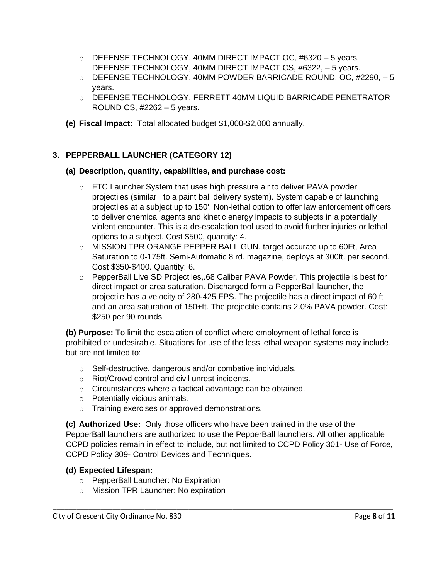- $\circ$  DEFENSE TECHNOLOGY, 40MM DIRECT IMPACT OC, #6320 5 years. DEFENSE TECHNOLOGY, 40MM DIRECT IMPACT CS, #6322, – 5 years.
- o DEFENSE TECHNOLOGY, 40MM POWDER BARRICADE ROUND, OC, #2290, 5 years.
- o DEFENSE TECHNOLOGY, FERRETT 40MM LIQUID BARRICADE PENETRATOR ROUND CS, #2262 – 5 years.
- **(e) Fiscal Impact:** Total allocated budget \$1,000-\$2,000 annually.

# **3. PEPPERBALL LAUNCHER (CATEGORY 12)**

#### **(a) Description, quantity, capabilities, and purchase cost:**

- o FTC Launcher System that uses high pressure air to deliver PAVA powder projectiles (similar to a paint ball delivery system). System capable of launching projectiles at a subject up to 150'. Non-lethal option to offer law enforcement officers to deliver chemical agents and kinetic energy impacts to subjects in a potentially violent encounter. This is a de-escalation tool used to avoid further injuries or lethal options to a subject. Cost \$500, quantity: 4.
- $\circ$  MISSION TPR ORANGE PEPPER BALL GUN. target accurate up to 60Ft, Area Saturation to 0-175ft. Semi-Automatic 8 rd. magazine, deploys at 300ft. per second. Cost \$350-\$400. Quantity: 6.
- o PepperBall Live SD Projectiles,.68 Caliber PAVA Powder. This projectile is best for direct impact or area saturation. Discharged form a PepperBall launcher, the projectile has a velocity of 280-425 FPS. The projectile has a direct impact of 60 ft and an area saturation of 150+ft. The projectile contains 2.0% PAVA powder. Cost: \$250 per 90 rounds

**(b) Purpose:** To limit the escalation of conflict where employment of lethal force is prohibited or undesirable. Situations for use of the less lethal weapon systems may include, but are not limited to:

- o Self-destructive, dangerous and/or combative individuals.
- o Riot/Crowd control and civil unrest incidents.
- o Circumstances where a tactical advantage can be obtained.
- o Potentially vicious animals.
- o Training exercises or approved demonstrations.

**(c) Authorized Use:** Only those officers who have been trained in the use of the PepperBall launchers are authorized to use the PepperBall launchers. All other applicable CCPD policies remain in effect to include, but not limited to CCPD Policy 301- Use of Force, CCPD Policy 309- Control Devices and Techniques.

\_\_\_\_\_\_\_\_\_\_\_\_\_\_\_\_\_\_\_\_\_\_\_\_\_\_\_\_\_\_\_\_\_\_\_\_\_\_\_\_\_\_\_\_\_\_\_\_\_\_\_\_\_\_\_\_\_\_\_\_\_\_\_\_\_\_\_\_\_\_\_\_\_\_\_\_\_\_\_\_\_\_\_\_\_

# **(d) Expected Lifespan:**

- o PepperBall Launcher: No Expiration
- o Mission TPR Launcher: No expiration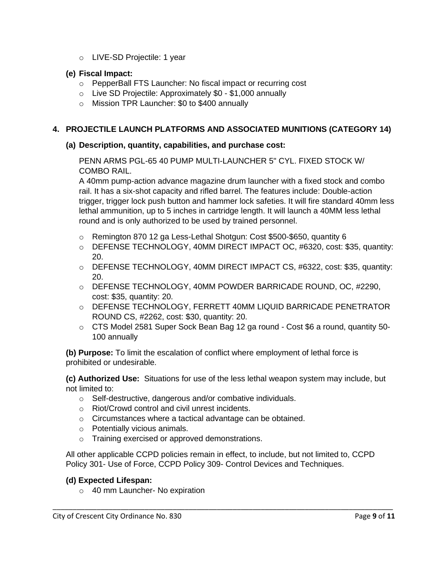o LIVE-SD Projectile: 1 year

#### **(e) Fiscal Impact:**

- o PepperBall FTS Launcher: No fiscal impact or recurring cost
- o Live SD Projectile: Approximately \$0 \$1,000 annually
- o Mission TPR Launcher: \$0 to \$400 annually

# **4. PROJECTILE LAUNCH PLATFORMS AND ASSOCIATED MUNITIONS (CATEGORY 14)**

#### **(a) Description, quantity, capabilities, and purchase cost:**

PENN ARMS PGL-65 40 PUMP MULTI-LAUNCHER 5" CYL. FIXED STOCK W/ COMBO RAIL.

A 40mm pump-action advance magazine drum launcher with a fixed stock and combo rail. It has a six-shot capacity and rifled barrel. The features include: Double-action trigger, trigger lock push button and hammer lock safeties. It will fire standard 40mm less lethal ammunition, up to 5 inches in cartridge length. It will launch a 40MM less lethal round and is only authorized to be used by trained personnel.

- $\circ$  Remington 870 12 ga Less-Lethal Shotgun: Cost \$500-\$650, quantity 6
- o DEFENSE TECHNOLOGY, 40MM DIRECT IMPACT OC, #6320, cost: \$35, quantity: 20.
- o DEFENSE TECHNOLOGY, 40MM DIRECT IMPACT CS, #6322, cost: \$35, quantity: 20.
- o DEFENSE TECHNOLOGY, 40MM POWDER BARRICADE ROUND, OC, #2290, cost: \$35, quantity: 20.
- o DEFENSE TECHNOLOGY, FERRETT 40MM LIQUID BARRICADE PENETRATOR ROUND CS, #2262, cost: \$30, quantity: 20.
- $\circ$  CTS Model 2581 Super Sock Bean Bag 12 ga round Cost \$6 a round, quantity 50-100 annually

**(b) Purpose:** To limit the escalation of conflict where employment of lethal force is prohibited or undesirable.

**(c) Authorized Use:** Situations for use of the less lethal weapon system may include, but not limited to:

- o Self-destructive, dangerous and/or combative individuals.
- o Riot/Crowd control and civil unrest incidents.
- o Circumstances where a tactical advantage can be obtained.
- o Potentially vicious animals.
- o Training exercised or approved demonstrations.

All other applicable CCPD policies remain in effect, to include, but not limited to, CCPD Policy 301- Use of Force, CCPD Policy 309- Control Devices and Techniques.

\_\_\_\_\_\_\_\_\_\_\_\_\_\_\_\_\_\_\_\_\_\_\_\_\_\_\_\_\_\_\_\_\_\_\_\_\_\_\_\_\_\_\_\_\_\_\_\_\_\_\_\_\_\_\_\_\_\_\_\_\_\_\_\_\_\_\_\_\_\_\_\_\_\_\_\_\_\_\_\_\_\_\_\_\_

#### **(d) Expected Lifespan:**

o 40 mm Launcher- No expiration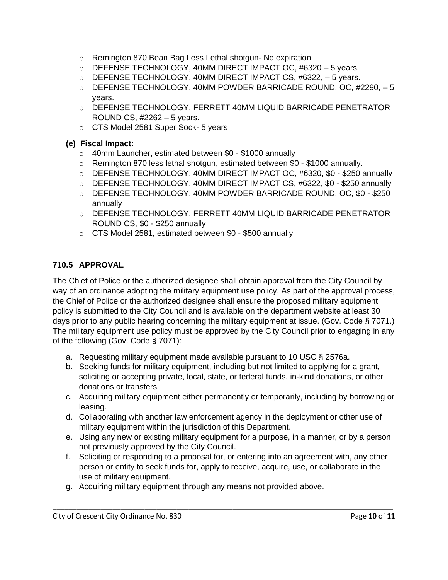- o Remington 870 Bean Bag Less Lethal shotgun- No expiration
- $\circ$  DEFENSE TECHNOLOGY, 40MM DIRECT IMPACT OC, #6320 5 years.
- o DEFENSE TECHNOLOGY, 40MM DIRECT IMPACT CS, #6322, 5 years.
- o DEFENSE TECHNOLOGY, 40MM POWDER BARRICADE ROUND, OC, #2290, 5 years.
- o DEFENSE TECHNOLOGY, FERRETT 40MM LIQUID BARRICADE PENETRATOR ROUND CS, #2262 – 5 years.
- o CTS Model 2581 Super Sock- 5 years

## **(e) Fiscal Impact:**

- o 40mm Launcher, estimated between \$0 \$1000 annually
- $\circ$  Remington 870 less lethal shotgun, estimated between \$0 \$1000 annually.
- o DEFENSE TECHNOLOGY, 40MM DIRECT IMPACT OC, #6320, \$0 \$250 annually
- o DEFENSE TECHNOLOGY, 40MM DIRECT IMPACT CS, #6322, \$0 \$250 annually
- o DEFENSE TECHNOLOGY, 40MM POWDER BARRICADE ROUND, OC, \$0 \$250 annually
- o DEFENSE TECHNOLOGY, FERRETT 40MM LIQUID BARRICADE PENETRATOR ROUND CS, \$0 - \$250 annually
- o CTS Model 2581, estimated between \$0 \$500 annually

# **710.5 APPROVAL**

The Chief of Police or the authorized designee shall obtain approval from the City Council by way of an ordinance adopting the military equipment use policy. As part of the approval process, the Chief of Police or the authorized designee shall ensure the proposed military equipment policy is submitted to the City Council and is available on the department website at least 30 days prior to any public hearing concerning the military equipment at issue. (Gov. Code § 7071.) The military equipment use policy must be approved by the City Council prior to engaging in any of the following (Gov. Code § 7071):

- a. Requesting military equipment made available pursuant to 10 USC § 2576a.
- b. Seeking funds for military equipment, including but not limited to applying for a grant, soliciting or accepting private, local, state, or federal funds, in-kind donations, or other donations or transfers.
- c. Acquiring military equipment either permanently or temporarily, including by borrowing or leasing.
- d. Collaborating with another law enforcement agency in the deployment or other use of military equipment within the jurisdiction of this Department.
- e. Using any new or existing military equipment for a purpose, in a manner, or by a person not previously approved by the City Council.
- f. Soliciting or responding to a proposal for, or entering into an agreement with, any other person or entity to seek funds for, apply to receive, acquire, use, or collaborate in the use of military equipment.

\_\_\_\_\_\_\_\_\_\_\_\_\_\_\_\_\_\_\_\_\_\_\_\_\_\_\_\_\_\_\_\_\_\_\_\_\_\_\_\_\_\_\_\_\_\_\_\_\_\_\_\_\_\_\_\_\_\_\_\_\_\_\_\_\_\_\_\_\_\_\_\_\_\_\_\_\_\_\_\_\_\_\_\_\_

g. Acquiring military equipment through any means not provided above.